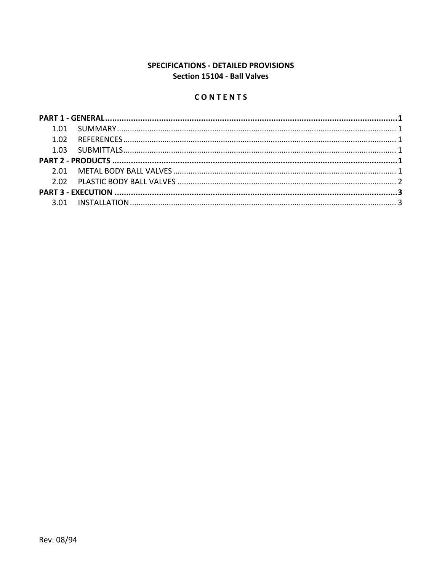# SPECIFICATIONS - DETAILED PROVISIONS Section 15104 - Ball Valves

# CONTENTS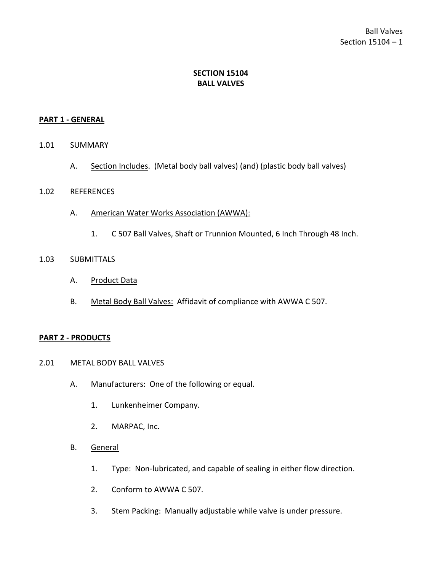# **SECTION 15104 BALL VALVES**

### <span id="page-2-0"></span>**PART 1 - GENERAL**

#### <span id="page-2-1"></span>1.01 SUMMARY

A. Section Includes. (Metal body ball valves) (and) (plastic body ball valves)

### <span id="page-2-2"></span>1.02 REFERENCES

- A. American Water Works Association (AWWA):
	- 1. C 507 Ball Valves, Shaft or Trunnion Mounted, 6 Inch Through 48 Inch.

#### <span id="page-2-3"></span>1.03 SUBMITTALS

- A. Product Data
- B. Metal Body Ball Valves: Affidavit of compliance with AWWA C 507.

#### <span id="page-2-4"></span>**PART 2 - PRODUCTS**

- <span id="page-2-5"></span>2.01 METAL BODY BALL VALVES
	- A. Manufacturers: One of the following or equal.
		- 1. Lunkenheimer Company.
		- 2. MARPAC, Inc.
	- B. General
		- 1. Type: Non-lubricated, and capable of sealing in either flow direction.
		- 2. Conform to AWWA C 507.
		- 3. Stem Packing: Manually adjustable while valve is under pressure.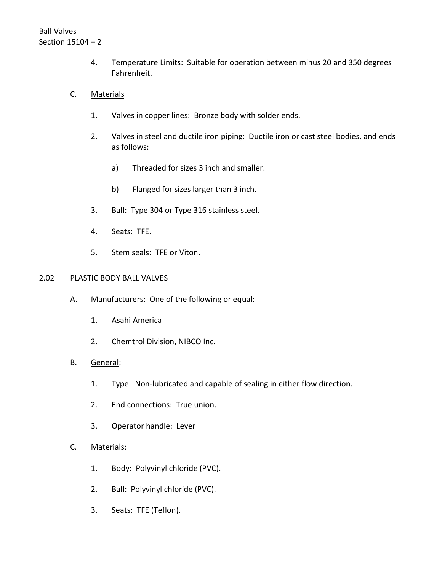- 4. Temperature Limits: Suitable for operation between minus 20 and 350 degrees Fahrenheit.
- C. Materials
	- 1. Valves in copper lines: Bronze body with solder ends.
	- 2. Valves in steel and ductile iron piping: Ductile iron or cast steel bodies, and ends as follows:
		- a) Threaded for sizes 3 inch and smaller.
		- b) Flanged for sizes larger than 3 inch.
	- 3. Ball: Type 304 or Type 316 stainless steel.
	- 4. Seats: TFE.
	- 5. Stem seals: TFE or Viton.

### <span id="page-3-0"></span>2.02 PLASTIC BODY BALL VALVES

- A. Manufacturers: One of the following or equal:
	- 1. Asahi America
	- 2. Chemtrol Division, NIBCO Inc.
- B. General:
	- 1. Type: Non-lubricated and capable of sealing in either flow direction.
	- 2. End connections: True union.
	- 3. Operator handle: Lever

# C. Materials:

- 1. Body: Polyvinyl chloride (PVC).
- 2. Ball: Polyvinyl chloride (PVC).
- 3. Seats: TFE (Teflon).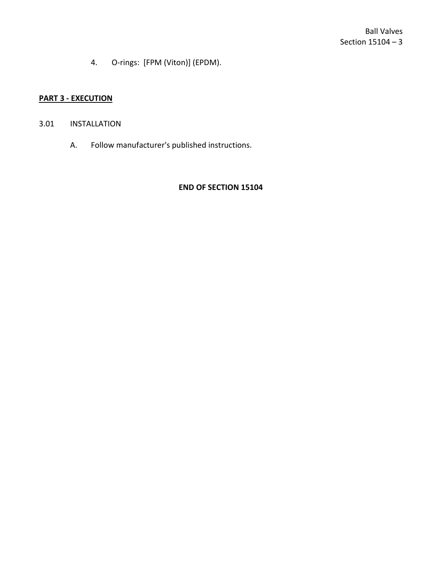4. O-rings: [FPM (Viton)] (EPDM).

# <span id="page-4-0"></span>**PART 3 - EXECUTION**

# <span id="page-4-1"></span>3.01 INSTALLATION

A. Follow manufacturer's published instructions.

# **END OF SECTION 15104**